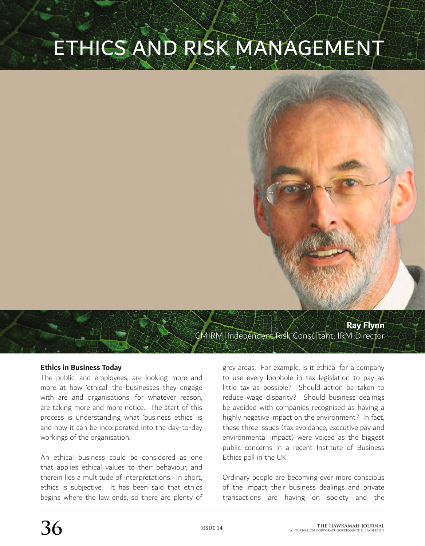# ETHICS AND RISK MANAGEMENT



#### **Ethics in Business Today**

The public, and employees, are looking more and more at how 'ethical' the businesses they engage with are and organisations, for whatever reason, are taking more and more notice. The start of this process is understanding what 'business ethics' is and how it can be incorporated into the day-to-day workings of the organisation.

An ethical business could be considered as one that applies ethical values to their behaviour, and therein lies a multitude of interpretations. In short, ethics is subjective. It has been said that ethics begins where the law ends, so there are plenty of grey areas. For example, is it ethical for a company to use every loophole in tax legislation to pay as little tax as possible? Should action be taken to reduce wage disparity? Should business dealings be avoided with companies recognised as having a highly negative impact on the environment? In fact, these three issues (tax avoidance, executive pay and environmental impact) were voiced as the biggest public concerns in a recent Institute of Business Ethics poll in the UK.

Ordinary people are becoming ever more conscious of the impact their business dealings and private transactions are having on society and the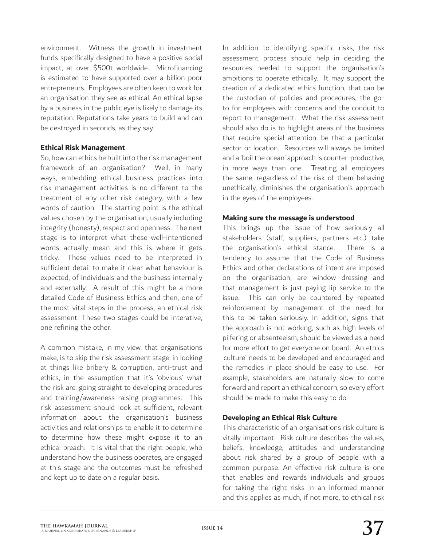environment. Witness the growth in investment funds specifically designed to have a positive social impact, at over \$500t worldwide. Microfinancing is estimated to have supported over a billion poor entrepreneurs. Employees are often keen to work for an organisation they see as ethical. An ethical lapse by a business in the public eye is likely to damage its reputation. Reputations take years to build and can be destroyed in seconds, as they say.

### **Ethical Risk Management**

So, how can ethics be built into the risk management framework of an organisation? Well, in many ways, embedding ethical business practices into risk management activities is no different to the treatment of any other risk category, with a few words of caution. The starting point is the ethical values chosen by the organisation, usually including integrity (honesty), respect and openness. The next stage is to interpret what these well-intentioned words actually mean and this is where it gets tricky. These values need to be interpreted in sufficient detail to make it clear what behaviour is expected, of individuals and the business internally and externally. A result of this might be a more detailed Code of Business Ethics and then, one of the most vital steps in the process, an ethical risk assessment. These two stages could be interative, one refining the other.

A common mistake, in my view, that organisations make, is to skip the risk assessment stage, in looking at things like bribery & corruption, anti-trust and ethics, in the assumption that it's 'obvious' what the risk are, going straight to developing procedures and training/awareness raising programmes. This risk assessment should look at sufficient, relevant information about the organisation's business activities and relationships to enable it to determine to determine how these might expose it to an ethical breach. It is vital that the right people, who understand how the business operates, are engaged at this stage and the outcomes must be refreshed and kept up to date on a regular basis.

In addition to identifying specific risks, the risk assessment process should help in deciding the resources needed to support the organisation's ambitions to operate ethically. It may support the creation of a dedicated ethics function, that can be the custodian of policies and procedures, the goto for employees with concerns and the conduit to report to management. What the risk assessment should also do is to highlight areas of the business that require special attention, be that a particular sector or location. Resources will always be limited and a 'boil the ocean' approach is counter-productive, in more ways than one. Treating all employees the same, regardless of the risk of them behaving unethically, diminishes the organisation's approach in the eyes of the employees.

### **Making sure the message is understood**

This brings up the issue of how seriously all stakeholders (staff, suppliers, partners etc.) take the organisation's ethical stance. There is a tendency to assume that the Code of Business Ethics and other declarations of intent are imposed on the organisation, are window dressing and that management is just paying lip service to the issue. This can only be countered by repeated reinforcement by management of the need for this to be taken seriously. In addition, signs that the approach is not working, such as high levels of pilfering or absenteeism, should be viewed as a need for more effort to get everyone on board. An ethics 'culture' needs to be developed and encouraged and the remedies in place should be easy to use. For example, stakeholders are naturally slow to come forward and report an ethical concern, so every effort should be made to make this easy to do.

## **Developing an Ethical Risk Culture**

This characteristic of an organisations risk culture is vitally important. Risk culture describes the values, beliefs, knowledge, attitudes and understanding about risk shared by a group of people with a common purpose. An effective risk culture is one that enables and rewards individuals and groups for taking the right risks in an informed manner and this applies as much, if not more, to ethical risk